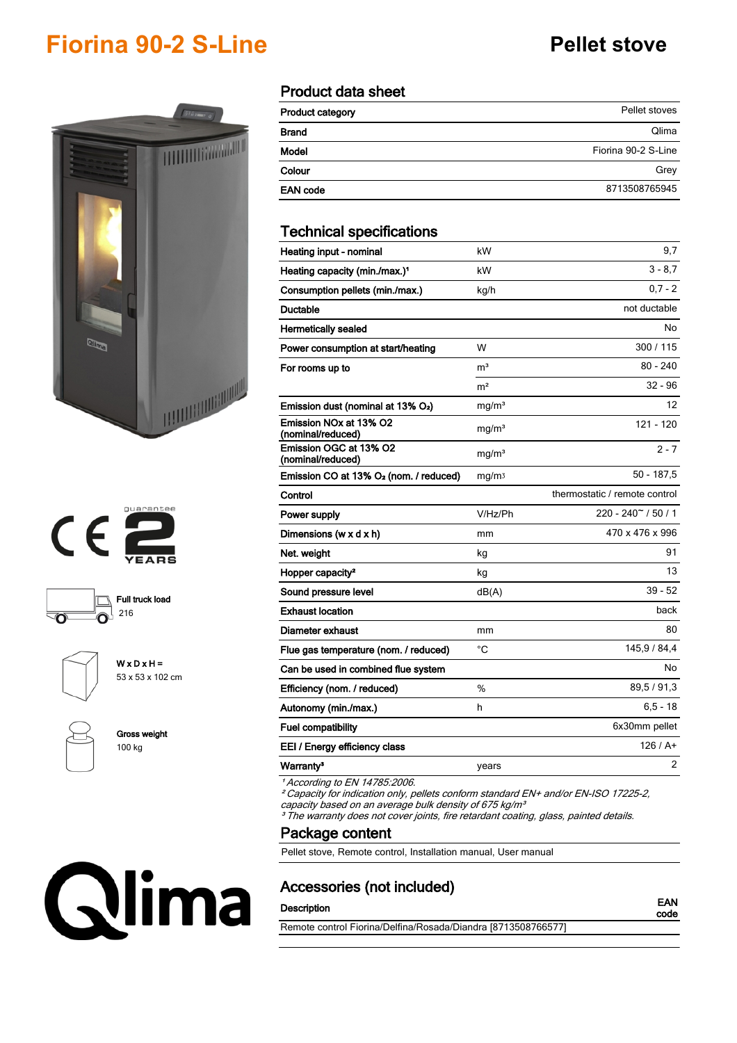## **Fiorina 90-2 S-Line Pellet stove**









**W x D x H =** 53 x 53 x 102 cm



**Gross weight** 100 kg

# Qlima

#### **Product data sheet**

| Product category | Pellet stoves       |
|------------------|---------------------|
| <b>Brand</b>     | Qlima               |
| Model            | Fiorina 90-2 S-Line |
| Colour           | Grey                |
| <b>EAN code</b>  | 8713508765945       |

#### **Technical specifications**

| Heating input - nominal                                             | kW                | 9,7                            |
|---------------------------------------------------------------------|-------------------|--------------------------------|
| Heating capacity (min./max.) <sup>1</sup>                           | kW                | $3 - 8.7$                      |
| Consumption pellets (min./max.)                                     | kg/h              | $0.7 - 2$                      |
| <b>Ductable</b>                                                     |                   | not ductable                   |
| <b>Hermetically sealed</b>                                          |                   | No                             |
| Power consumption at start/heating                                  | W                 | 300 / 115                      |
| For rooms up to                                                     | m <sup>3</sup>    | $80 - 240$                     |
|                                                                     | m <sup>2</sup>    | $32 - 96$                      |
| Emission dust (nominal at 13% O <sub>2</sub> )                      | mg/m <sup>3</sup> | 12                             |
| Emission NO <sub>x</sub> at 13% O <sub>2</sub><br>(nominal/reduced) | mg/m <sup>3</sup> | $121 - 120$                    |
| Emission OGC at 13% O2<br>(nominal/reduced)                         | mg/m <sup>3</sup> | $2 - 7$                        |
| Emission CO at 13% O <sub>2</sub> (nom. / reduced)                  | mg/m <sub>3</sub> | $50 - 187,5$                   |
| Control                                                             |                   | thermostatic / remote control  |
| Power supply                                                        | V/Hz/Ph           | $220 - 240$ $\degree$ / 50 / 1 |
| Dimensions (w $x$ d $x$ h)                                          | mm                | 470 x 476 x 996                |
| Net. weight                                                         | kg                | 91                             |
| Hopper capacity <sup>2</sup>                                        | kg                | 13                             |
| Sound pressure level                                                | dB(A)             | $39 - 52$                      |
| <b>Exhaust location</b>                                             |                   | back                           |
| Diameter exhaust                                                    | mm                | 80                             |
| Flue gas temperature (nom. / reduced)                               | °C                | 145,9 / 84,4                   |
| Can be used in combined flue system                                 |                   | No                             |
| Efficiency (nom. / reduced)                                         | %                 | 89,5 / 91,3                    |
| Autonomy (min./max.)                                                | h                 | $6, 5 - 18$                    |
| <b>Fuel compatibility</b>                                           |                   | 6x30mm pellet                  |
| EEI / Energy efficiency class                                       |                   | 126/At                         |
| Warranty <sup>3</sup>                                               | years             | 2                              |

*¹ According to EN 14785:2006.*

*² Capacity for indication only, pellets conform standard EN+ and/or EN-ISO 17225-2, capacity based on an average bulk density of 675 kg/m³*

*³ The warranty does not cover joints, fire retardant coating, glass, painted details.*

**Package content**

Pellet stove, Remote control, Installation manual, User manual

#### **Accessories (not included)**

### **Description EAN**

**code**

Remote control Fiorina/Delfina/Rosada/Diandra [8713508766577]